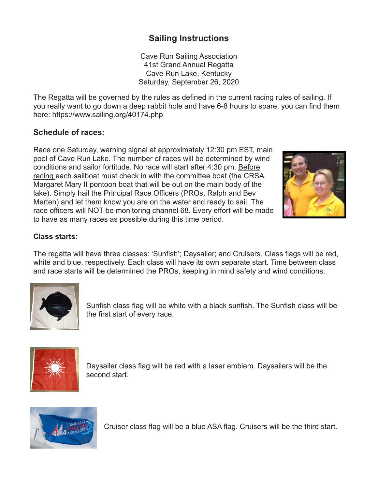# **Sailing Instructions**

Cave Run Sailing Association 41st Grand Annual Regatta Cave Run Lake, Kentucky Saturday, September 26, 2020

The Regatta will be governed by the rules as defined in the current racing rules of sailing. If you really want to go down a deep rabbit hole and have 6-8 hours to spare, you can find them here: <https://www.sailing.org/40174.php>

# **Schedule of races:**

Race one Saturday, warning signal at approximately 12:30 pm EST, main pool of Cave Run Lake. The number of races will be determined by wind conditions and sailor fortitude. No race will start after 4:30 pm. Before racing each sailboat must check in with the committee boat (the CRSA Margaret Mary II pontoon boat that will be out on the main body of the lake). Simply hail the Principal Race Officers (PROs, Ralph and Bev Merten) and let them know you are on the water and ready to sail. The race officers will NOT be monitoring channel 68. Every effort will be made to have as many races as possible during this time period.



## **Class starts:**

The regatta will have three classes: 'Sunfish'; Daysailer; and Cruisers. Class flags will be red, white and blue, respectively. Each class will have its own separate start. Time between class and race starts will be determined the PROs, keeping in mind safety and wind conditions.



Sunfish class flag will be white with a black sunfish. The Sunfish class will be the first start of every race.



Daysailer class flag will be red with a laser emblem. Daysailers will be the second start.



Cruiser class flag will be a blue ASA flag. Cruisers will be the third start.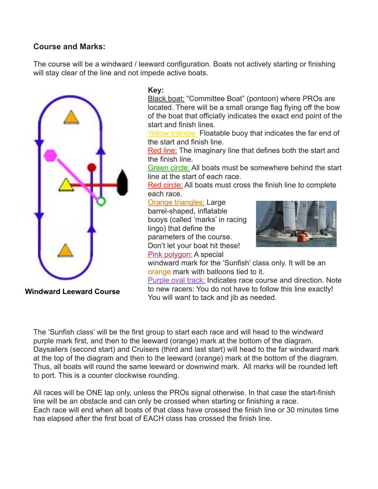# **Course and Marks:**

The course will be a windward / leeward configuration. Boats not actively starting or finishing will stay clear of the line and not impede active boats.



### **Key:**

Black boat: "Committee Boat" (pontoon) where PROs are located. There will be a small orange flag flying off the bow of the boat that officially indicates the exact end point of the start and finish lines.

Yellow triangle: Floatable buoy that indicates the far end of the start and finish line.

Red line: The imaginary line that defines both the start and the finish line.

Green circle: All boats must be somewhere behind the start line at the start of each race.

Red circle: All boats must cross the finish line to complete each race.

#### Orange triangles: Large

barrel-shaped, inflatable buoys (called 'marks' in racing lingo) that define the parameters of the course. Don't let your boat hit these! Pink polygon: A special



windward mark for the 'Sunfish' class only. It will be an orange mark with balloons tied to it.

Purple oval track: Indicates race course and direction. Note to new racers: You do not have to follow this line exactly! You will want to tack and jib as needed.

**Windward Leeward Course**

The 'Sunfish class' will be the first group to start each race and will head to the windward purple mark first, and then to the leeward (orange) mark at the bottom of the diagram. Daysailers (second start) and Cruisers (third and last start) will head to the far windward mark at the top of the diagram and then to the leeward (orange) mark at the bottom of the diagram. Thus, all boats will round the same leeward or downwind mark. All marks will be rounded left to port. This is a counter clockwise rounding.

All races will be ONE lap only, unless the PROs signal otherwise. In that case the start-finish line will be an obstacle and can only be crossed when starting or finishing a race. Each race will end when all boats of that class have crossed the finish line or 30 minutes time has elapsed after the first boat of EACH class has crossed the finish line.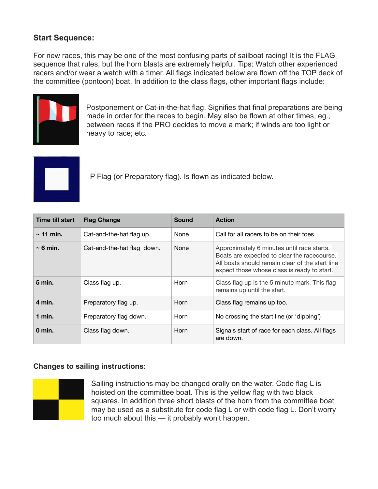# **Start Sequence:**

For new races, this may be one of the most confusing parts of sailboat racing! It is the FLAG sequence that rules, but the horn blasts are extremely helpful. Tips: Watch other experienced racers and/or wear a watch with a timer. All flags indicated below are flown off the TOP deck of the committee (pontoon) boat. In addition to the class flags, other important flags include:



Postponement or Cat-in-the-hat flag. Signifies that final preparations are being made in order for the races to begin. May also be flown at other times, eg., between races if the PRO decides to move a mark; if winds are too light or heavy to race; etc.



P Flag (or Preparatory flag). Is flown as indicated below.

| <b>Time till start</b> | <b>Flag Change</b>         | <b>Sound</b> | <b>Action</b>                                                                                                                                                                               |
|------------------------|----------------------------|--------------|---------------------------------------------------------------------------------------------------------------------------------------------------------------------------------------------|
| $\sim$ 11 min.         | Cat-and-the-hat flag up.   | None         | Call for all racers to be on their toes.                                                                                                                                                    |
| $\sim 6$ min.          | Cat-and-the-hat flag down. | <b>None</b>  | Approximately 6 minutes until race starts.<br>Boats are expected to clear the racecourse.<br>All boats should remain clear of the start line<br>expect those whose class is ready to start. |
| $5$ min.               | Class flag up.             | Horn         | Class flag up is the 5 minute mark. This flag<br>remains up until the start.                                                                                                                |
| 4 min.                 | Preparatory flag up.       | Horn         | Class flag remains up too.                                                                                                                                                                  |
| $1$ min.               | Preparatory flag down.     | Horn         | No crossing the start line (or 'dipping')                                                                                                                                                   |
| 0 min.                 | Class flag down.           | Horn         | Signals start of race for each class. All flags<br>are down.                                                                                                                                |

### **Changes to sailing instructions:**



Sailing instructions may be changed orally on the water. Code flag L is hoisted on the committee boat. This is the yellow flag with two black squares. In addition three short blasts of the horn from the committee boat may be used as a substitute for code flag L or with code flag L. Don't worry too much about this — it probably won't happen.